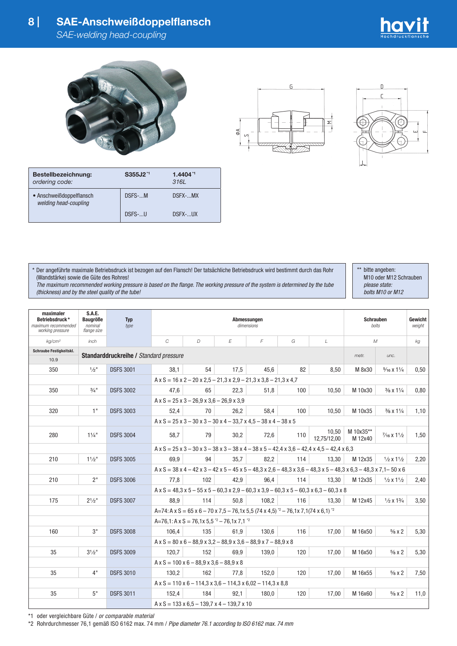







| Bestellbezeichnung:<br>ordering code:             | S355J2 <sup>*1</sup> | $1.4404$ <sup>*1</sup><br>3161 |  |
|---------------------------------------------------|----------------------|--------------------------------|--|
| • Anschweißdoppelflansch<br>welding head-coupling | DSFS-M               | DSFX-MX                        |  |
|                                                   | DSFS-U               | DSFX- UX                       |  |

\* Der angeführte maximale Betriebsdruck ist bezogen auf den Flansch! Der tatsächliche Betriebsdruck wird bestimmt durch das Rohr (Wandstärke) sowie die Güte des Rohres!

 *The maximum recommended working pressure is based on the flange. The working pressure of the system is determined by the tube (thickness) and by the steel quality of the tube!*

\*\* bitte angeben: M10 oder M12 Schrauben  *please state: bolts M10 or M12*

| maximaler<br>Betriebsdruck*<br>maximum recommended<br>working pressure | S.A.E.<br><b>Baugröße</b><br>nominal<br>flange size | <b>Typ</b><br>type                     | Abmessungen<br>dimensions                                                                                                                                                  |                                                                                                                                                |      |                                                                                                         |     | <b>Schrauben</b><br>bolts |                      | Gewicht<br>weight               |      |
|------------------------------------------------------------------------|-----------------------------------------------------|----------------------------------------|----------------------------------------------------------------------------------------------------------------------------------------------------------------------------|------------------------------------------------------------------------------------------------------------------------------------------------|------|---------------------------------------------------------------------------------------------------------|-----|---------------------------|----------------------|---------------------------------|------|
| ka/cm <sup>2</sup>                                                     | $in$ ch                                             |                                        | C                                                                                                                                                                          | D                                                                                                                                              | E    | F                                                                                                       | G   | $\mathcal{L}$             | $\mathcal M$         | kg                              |      |
| Schraube Festigkeitskl.                                                |                                                     | Standarddruckreihe / Standard pressure |                                                                                                                                                                            |                                                                                                                                                |      |                                                                                                         |     |                           |                      | unc.                            |      |
| 10.9                                                                   |                                                     |                                        |                                                                                                                                                                            |                                                                                                                                                |      |                                                                                                         |     | metr.                     |                      |                                 |      |
| 350                                                                    | $1/2$ <sup>11</sup>                                 | <b>DSFS 3001</b>                       | 38.1                                                                                                                                                                       | 54                                                                                                                                             | 17,5 | 45.6                                                                                                    | 82  | 8,50                      | M 8x30               | $\frac{5}{16}$ X $1\frac{1}{4}$ | 0,50 |
|                                                                        |                                                     |                                        |                                                                                                                                                                            |                                                                                                                                                |      | $A \times S = 16 \times 2 - 20 \times 2, 5 - 21, 3 \times 2, 9 - 21, 3 \times 3, 8 - 21, 3 \times 4, 7$ |     |                           |                      |                                 |      |
| 350                                                                    | $\frac{3}{4}$ "                                     | <b>DSFS 3002</b>                       | 47.6                                                                                                                                                                       | 65                                                                                                                                             | 22.3 | 51.8                                                                                                    | 100 | 10,50                     | M 10x30              | $\frac{3}{8}$ x 1 $\frac{1}{4}$ | 0,80 |
|                                                                        |                                                     |                                        | $A \times S = 25 \times 3 - 26.9 \times 3.6 - 26.9 \times 3.9$                                                                                                             |                                                                                                                                                |      |                                                                                                         |     |                           |                      |                                 |      |
| 320                                                                    | 1"                                                  | <b>DSFS 3003</b>                       | 52.4                                                                                                                                                                       | 70                                                                                                                                             | 26.2 | 58.4                                                                                                    | 100 | 10.50                     | M 10x35              | $\frac{3}{8}$ x 1 $\frac{1}{4}$ | 1,10 |
|                                                                        |                                                     |                                        |                                                                                                                                                                            |                                                                                                                                                |      | $A \times S = 25 \times 3 - 30 \times 3 - 30 \times 4 - 33.7 \times 4.5 - 38 \times 4 - 38 \times 5$    |     |                           |                      |                                 |      |
| 280                                                                    | $1\frac{1}{4}$ "                                    | <b>DSFS 3004</b>                       | 58,7                                                                                                                                                                       | 79                                                                                                                                             | 30,2 | 72,6                                                                                                    | 110 | 10,50<br>12,75/12,00      | M 10x35**<br>M 12x40 | $\frac{7}{16}$ X $1\frac{1}{2}$ | 1,50 |
|                                                                        |                                                     |                                        |                                                                                                                                                                            | $A \times S = 25 \times 3 - 30 \times 3 - 38 \times 3 - 38 \times 4 - 38 \times 5 - 42, 4 \times 3, 6 - 42, 4 \times 4, 5 - 42, 4 \times 6, 3$ |      |                                                                                                         |     |                           |                      |                                 |      |
| 210                                                                    | 11/2"                                               | <b>DSFS 3005</b>                       | 69.9                                                                                                                                                                       | 94                                                                                                                                             | 35.7 | 82.2                                                                                                    | 114 | 13.30                     | M 12x35              | $\frac{1}{2}$ x $\frac{11}{2}$  | 2,20 |
|                                                                        |                                                     |                                        | $A \times S = 38 \times 4 - 42 \times 3 - 42 \times 5 - 45 \times 5 - 48.3 \times 2.6 - 48.3 \times 3.6 - 48.3 \times 5 - 48.3 \times 6.3 - 48.3 \times 7.1 - 50 \times 6$ |                                                                                                                                                |      |                                                                                                         |     |                           |                      |                                 |      |
| 210                                                                    | 2 <sup>11</sup>                                     | <b>DSFS 3006</b>                       | 77.8                                                                                                                                                                       | 102                                                                                                                                            | 42.9 | 96.4                                                                                                    | 114 | 13.30                     | M 12x35              | $\frac{1}{2}$ x $\frac{11}{2}$  | 2,40 |
|                                                                        |                                                     |                                        | $A \times S = 48,3 \times 5 - 55 \times 5 - 60,3 \times 2,9 - 60,3 \times 3,9 - 60,3 \times 5 - 60,3 \times 6,3 - 60,3 \times 8$                                           |                                                                                                                                                |      |                                                                                                         |     |                           |                      |                                 |      |
| 175                                                                    | $2^{1}/2"$                                          | <b>DSFS 3007</b>                       | 88.9                                                                                                                                                                       | 114                                                                                                                                            | 50.8 | 108.2                                                                                                   | 116 | 13.30                     | M 12x45              | $\frac{1}{2}$ x $\frac{13}{4}$  | 3,50 |
|                                                                        |                                                     |                                        | $A=74$ : A x S = 65 x 6 - 70 x 7.5 - 76.1x 5.5 (74 x 4.5) $^{2}$ - 76.1x 7.1(74 x 6.1) $^{2}$                                                                              |                                                                                                                                                |      |                                                                                                         |     |                           |                      |                                 |      |
|                                                                        |                                                     |                                        | A=76,1: A x S = 76,1x 5,5 $2^{\degree}$ - 76,1x 7,1 $2^{\degree}$                                                                                                          |                                                                                                                                                |      |                                                                                                         |     |                           |                      |                                 |      |
| 160                                                                    | 3"                                                  | <b>DSFS 3008</b>                       | 106.4                                                                                                                                                                      | 135                                                                                                                                            | 61.9 | 130.6                                                                                                   | 116 | 17,00                     | M 16x50              | $\frac{5}{8}$ X 2               | 5,30 |
|                                                                        |                                                     |                                        | $A \times S = 80 \times 6 - 88.9 \times 3.2 - 88.9 \times 3.6 - 88.9 \times 7 - 88.9 \times 8$                                                                             |                                                                                                                                                |      |                                                                                                         |     |                           |                      |                                 |      |
| 35                                                                     | $3^{1}/2"$                                          | <b>DSFS 3009</b>                       | 120.7                                                                                                                                                                      | 152                                                                                                                                            | 69.9 | 139.0                                                                                                   | 120 | 17,00                     | M 16x50              | $\frac{5}{8}$ X 2               | 5,30 |
|                                                                        |                                                     |                                        | $A \times S = 100 \times 6 - 88.9 \times 3.6 - 88.9 \times 8$                                                                                                              |                                                                                                                                                |      |                                                                                                         |     |                           |                      |                                 |      |
| 35                                                                     | 4"                                                  | <b>DSFS 3010</b>                       | 130,2                                                                                                                                                                      | 162                                                                                                                                            | 77,8 | 152.0                                                                                                   | 120 | 17,00                     | M 16x55              | $\frac{5}{8}$ X 2               | 7,50 |
|                                                                        |                                                     |                                        | $A \times S = 110 \times 6 - 114.3 \times 3.6 - 114.3 \times 6.02 - 114.3 \times 8.8$                                                                                      |                                                                                                                                                |      |                                                                                                         |     |                           |                      |                                 |      |
| 35                                                                     | 5"                                                  | <b>DSFS 3011</b>                       | 152.4                                                                                                                                                                      | 184                                                                                                                                            | 92.1 | 180.0                                                                                                   | 120 | 17,00                     | M 16x60              | $\frac{5}{8}$ x 2               | 11,0 |
|                                                                        |                                                     |                                        | $A \times S = 133 \times 6.5 - 139.7 \times 4 - 139.7 \times 10$                                                                                                           |                                                                                                                                                |      |                                                                                                         |     |                           |                      |                                 |      |

\*1 oder vergleichbare Güte / *or comparable material*

\*2 Rohrdurchmesser 76,1 gemäß ISO 6162 max. 74 mm / *Pipe diameter 76.1 according to ISO 6162 max. 74 mm*